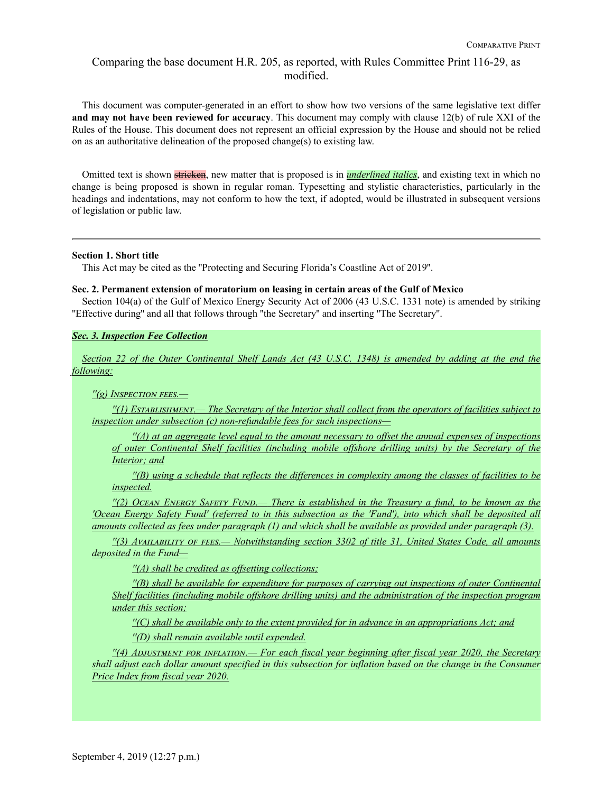## Comparing the base document H.R. 205, as reported, with Rules Committee Print 116-29, as modified.

This document was computer-generated in an effort to show how two versions of the same legislative text differ **and may not have been reviewed for accuracy**. This document may comply with clause 12(b) of rule XXI of the Rules of the House. This document does not represent an official expression by the House and should not be relied on as an authoritative delineation of the proposed change(s) to existing law.

Omitted text is shown stricken, new matter that is proposed is in *underlined italics*, and existing text in which no change is being proposed is shown in regular roman. Typesetting and stylistic characteristics, particularly in the headings and indentations, may not conform to how the text, if adopted, would be illustrated in subsequent versions of legislation or public law.

## **Section 1. Short title**

This Act may be cited as the ''Protecting and Securing Florida's Coastline Act of 2019''.

## **Sec. 2. Permanent extension of moratorium on leasing in certain areas of the Gulf of Mexico**

Section 104(a) of the Gulf of Mexico Energy Security Act of 2006 (43 U.S.C. 1331 note) is amended by striking ''Effective during'' and all that follows through ''the Secretary'' and inserting ''The Secretary''.

## *Sec. 3. Inspection Fee Collection*

*Section 22 of the Outer Continental Shelf Lands Act (43 U.S.C. 1348) is amended by adding at the end the following:*

*''(g) Inspection fees.—*

*''(1) Establishment.— The Secretary of the Interior shall collect from the operators of facilities subject to inspection under subsection (c) non-refundable fees for such inspections—*

*''(A) at an aggregate level equal to the amount necessary to offset the annual expenses of inspections of outer Continental Shelf facilities (including mobile offshore drilling units) by the Secretary of the Interior; and*

*''(B) using a schedule that reflects the differences in complexity among the classes of facilities to be inspected.*

*''(2) Ocean Energਙ Safetਙ Fund.— There is established in the Treasury a fund, to be known as the 'Ocean Energy Safety Fund' (referred to in this subsection as the 'Fund'), into which shall be deposited all amounts collected as fees under paragraph (1) and which shall be available as provided under paragraph (3).*

*''(3) Availabilitਙ of fees.— Notwithstanding section 3302 of title 31, United States Code, all amounts deposited in the Fund—*

*''(A) shall be credited as offsetting collections;*

*''(B) shall be available for expenditure for purposes of carrying out inspections of outer Continental Shelf facilities (including mobile offshore drilling units) and the administration of the inspection program under this section;*

*''(C) shall be available only to the extent provided for in advance in an appropriations Act; and ''(D) shall remain available until expended.*

*''(4) Adjustment for inflation.— For each fiscal year beginning after fiscal year 2020, the Secretary shall adjust each dollar amount specified in this subsection for inflation based on the change in the Consumer Price Index from fiscal year 2020.*